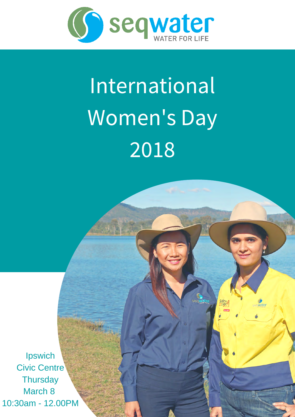

# International Women's Day 2018

seq water

**Ipswich** Civic Centre **Thursday** March 8 10:30am - 12.00PM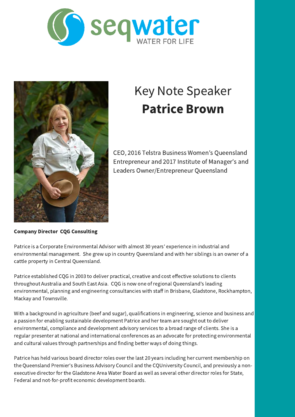



## Key Note Speaker Patrice Brown

CEO, 2016 Telstra Business Women's Queensland Entrepreneur and 2017 Institute of Manager's and Leaders Owner/Entrepreneur Queensland

Company Director CQG Consulting

Patrice is a Corporate Environmental Advisor with almost 30 years' experience in industrial and environmental management. She grew up in country Queensland and with her siblings is an owner of a cattle property in Central Queensland.

Patrice established CQG in 2003 to deliver practical, creative and cost effective solutions to clients throughout Australia and South East Asia. CQG is now one of regional Queensland's leading environmental, planning and engineering consultancies with staff in Brisbane, Gladstone, Rockhampton, Mackay and Townsville.

With a background in agriculture (beef and sugar), qualifications in engineering, science and business and a passion for enabling sustainable development Patrice and her team are sought out to deliver environmental, compliance and development advisory services to a broad range of clients. She is a regular presenter at national and international conferences as an advocate for protecting environmental and cultural values through partnerships and finding better ways of doing things.

Patrice has held various board director roles over the last 20 years including her current membership on the Queensland Premier's Business Advisory Council and the CQUniversity Council, and previously a nonexecutive director for the Gladstone Area Water Board as well as several other director roles for State, Federal and not-for-profit economic development boards.